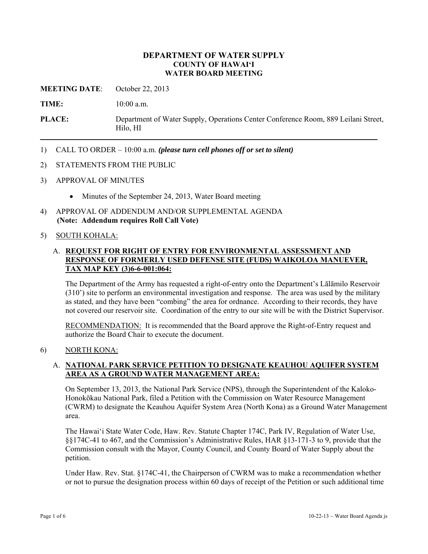## **DEPARTMENT OF WATER SUPPLY COUNTY OF HAWAI'I WATER BOARD MEETING**

**MEETING DATE**: October 22, 2013

TIME:  $10:00$  a.m.

**PLACE:** Department of Water Supply, Operations Center Conference Room, 889 Leilani Street, Hilo, HI

- 1) CALL TO ORDER 10:00 a.m. *(please turn cell phones off or set to silent)*
- 2) STATEMENTS FROM THE PUBLIC
- 3) APPROVAL OF MINUTES
	- Minutes of the September 24, 2013, Water Board meeting
- 4) APPROVAL OF ADDENDUM AND/OR SUPPLEMENTAL AGENDA **(Note: Addendum requires Roll Call Vote)**

## 5) SOUTH KOHALA:

## A. **REQUEST FOR RIGHT OF ENTRY FOR ENVIRONMENTAL ASSESSMENT AND RESPONSE OF FORMERLY USED DEFENSE SITE (FUDS) WAIKOLOA MANUEVER, TAX MAP KEY (3)6-6-001:064:**

The Department of the Army has requested a right-of-entry onto the Department's Lālāmilo Reservoir (310') site to perform an environmental investigation and response. The area was used by the military as stated, and they have been "combing" the area for ordnance. According to their records, they have not covered our reservoir site. Coordination of the entry to our site will be with the District Supervisor.

RECOMMENDATION: It is recommended that the Board approve the Right-of-Entry request and authorize the Board Chair to execute the document.

## 6) NORTH KONA:

## A. **NATIONAL PARK SERVICE PETITION TO DESIGNATE KEAUHOU AQUIFER SYSTEM AREA AS A GROUND WATER MANAGEMENT AREA:**

On September 13, 2013, the National Park Service (NPS), through the Superintendent of the Kaloko-Honokōkau National Park, filed a Petition with the Commission on Water Resource Management (CWRM) to designate the Keauhou Aquifer System Area (North Kona) as a Ground Water Management area.

The Hawai'i State Water Code, Haw. Rev. Statute Chapter 174C, Park IV, Regulation of Water Use, §§174C-41 to 467, and the Commission's Administrative Rules, HAR §13-171-3 to 9, provide that the Commission consult with the Mayor, County Council, and County Board of Water Supply about the petition.

Under Haw. Rev. Stat. §174C-41, the Chairperson of CWRM was to make a recommendation whether or not to pursue the designation process within 60 days of receipt of the Petition or such additional time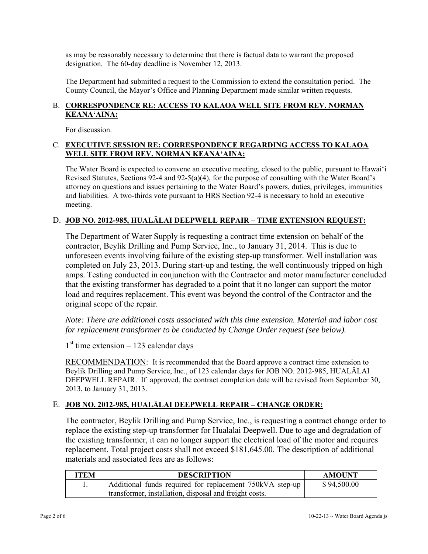as may be reasonably necessary to determine that there is factual data to warrant the proposed designation. The 60-day deadline is November 12, 2013.

The Department had submitted a request to the Commission to extend the consultation period. The County Council, the Mayor's Office and Planning Department made similar written requests.

# B. **CORRESPONDENCE RE: ACCESS TO KALAOA WELL SITE FROM REV. NORMAN KEANA'AINA:**

For discussion.

# C. **EXECUTIVE SESSION RE: CORRESPONDENCE REGARDING ACCESS TO KALAOA WELL SITE FROM REV. NORMAN KEANA'AINA:**

The Water Board is expected to convene an executive meeting, closed to the public, pursuant to Hawai'i Revised Statutes, Sections 92-4 and 92-5(a)(4), for the purpose of consulting with the Water Board's attorney on questions and issues pertaining to the Water Board's powers, duties, privileges, immunities and liabilities. A two-thirds vote pursuant to HRS Section 92-4 is necessary to hold an executive meeting.

# D. **JOB NO. 2012-985, HUALĀLAI DEEPWELL REPAIR – TIME EXTENSION REQUEST:**

The Department of Water Supply is requesting a contract time extension on behalf of the contractor, Beylik Drilling and Pump Service, Inc., to January 31, 2014. This is due to unforeseen events involving failure of the existing step-up transformer. Well installation was completed on July 23, 2013. During start-up and testing, the well continuously tripped on high amps. Testing conducted in conjunction with the Contractor and motor manufacturer concluded that the existing transformer has degraded to a point that it no longer can support the motor load and requires replacement. This event was beyond the control of the Contractor and the original scope of the repair.

*Note: There are additional costs associated with this time extension. Material and labor cost for replacement transformer to be conducted by Change Order request (see below).* 

 $1<sup>st</sup>$  time extension – 123 calendar days

RECOMMENDATION: It is recommended that the Board approve a contract time extension to Beylik Drilling and Pump Service, Inc., of 123 calendar days for JOB NO. 2012-985, HUALĀLAI DEEPWELL REPAIR. If approved, the contract completion date will be revised from September 30, 2013, to January 31, 2013.

# E. **JOB NO. 2012-985, HUALĀLAI DEEPWELL REPAIR – CHANGE ORDER:**

The contractor, Beylik Drilling and Pump Service, Inc., is requesting a contract change order to replace the existing step-up transformer for Hualalai Deepwell. Due to age and degradation of the existing transformer, it can no longer support the electrical load of the motor and requires replacement. Total project costs shall not exceed \$181,645.00. The description of additional materials and associated fees are as follows:

| <b>ITEM</b> | <b>DESCRIPTION</b>                                       | <b>AMOUNT</b> |
|-------------|----------------------------------------------------------|---------------|
|             | Additional funds required for replacement 750kVA step-up | \$94,500.00   |
|             | transformer, installation, disposal and freight costs.   |               |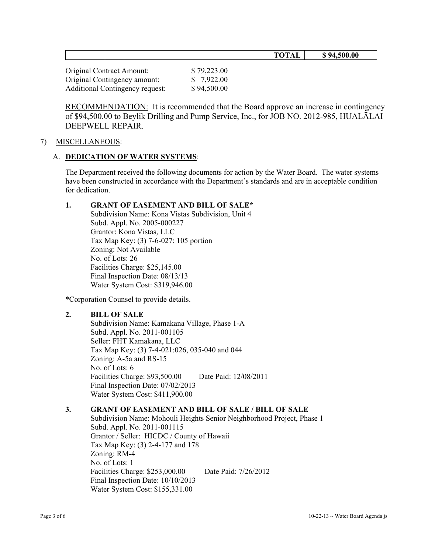| $\sim$<br>$\mathbf{m}$<br>TUTAL | 500.00 |
|---------------------------------|--------|
|                                 |        |

| <b>Original Contract Amount:</b>       | \$79,223.00 |
|----------------------------------------|-------------|
| Original Contingency amount:           | \$7,922.00  |
| <b>Additional Contingency request:</b> | \$94,500.00 |

RECOMMENDATION: It is recommended that the Board approve an increase in contingency of \$94,500.00 to Beylik Drilling and Pump Service, Inc., for JOB NO. 2012-985, HUALĀLAI DEEPWELL REPAIR.

## 7) MISCELLANEOUS:

## A. **DEDICATION OF WATER SYSTEMS**:

The Department received the following documents for action by the Water Board. The water systems have been constructed in accordance with the Department's standards and are in acceptable condition for dedication.

# **1. GRANT OF EASEMENT AND BILL OF SALE\***

Subdivision Name: Kona Vistas Subdivision, Unit 4 Subd. Appl. No. 2005-000227 Grantor: Kona Vistas, LLC Tax Map Key: (3) 7-6-027: 105 portion Zoning: Not Available No. of Lots: 26 Facilities Charge: \$25,145.00 Final Inspection Date: 08/13/13 Water System Cost: \$319,946.00

\*Corporation Counsel to provide details.

# **2. BILL OF SALE**

Subdivision Name: Kamakana Village, Phase 1-A Subd. Appl. No. 2011-001105 Seller: FHT Kamakana, LLC Tax Map Key: (3) 7-4-021:026, 035-040 and 044 Zoning: A-5a and RS-15 No. of Lots: 6 Facilities Charge: \$93,500.00 Date Paid: 12/08/2011 Final Inspection Date: 07/02/2013 Water System Cost: \$411,900.00

# **3. GRANT OF EASEMENT AND BILL OF SALE / BILL OF SALE**

Subdivision Name: Mohouli Heights Senior Neighborhood Project, Phase 1 Subd. Appl. No. 2011-001115 Grantor / Seller: HICDC / County of Hawaii Tax Map Key: (3) 2-4-177 and 178 Zoning: RM-4 No. of Lots: 1 Facilities Charge: \$253,000.00 Date Paid: 7/26/2012 Final Inspection Date: 10/10/2013 Water System Cost: \$155,331.00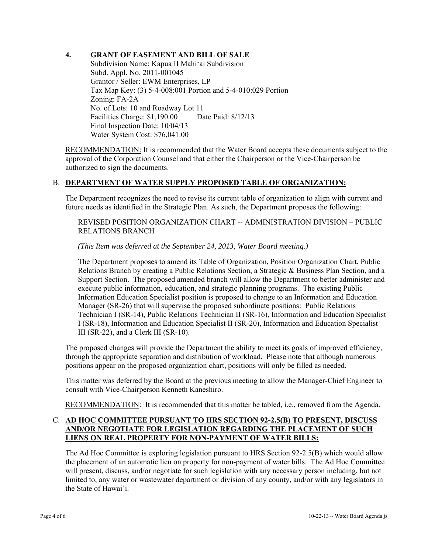## **4. GRANT OF EASEMENT AND BILL OF SALE**

Subdivision Name: Kapua II Mahi'ai Subdivision Subd. Appl. No. 2011-001045 Grantor / Seller: EWM Enterprises, LP Tax Map Key: (3) 5-4-008:001 Portion and 5-4-010:029 Portion Zoning: FA-2A No. of Lots: 10 and Roadway Lot 11 Facilities Charge: \$1,190.00 Date Paid: 8/12/13 Final Inspection Date: 10/04/13 Water System Cost: \$76,041.00

RECOMMENDATION: It is recommended that the Water Board accepts these documents subject to the approval of the Corporation Counsel and that either the Chairperson or the Vice-Chairperson be authorized to sign the documents.

# B. **DEPARTMENT OF WATER SUPPLY PROPOSED TABLE OF ORGANIZATION:**

The Department recognizes the need to revise its current table of organization to align with current and future needs as identified in the Strategic Plan. As such, the Department proposes the following:

REVISED POSITION ORGANIZATION CHART -- ADMINISTRATION DIVISION – PUBLIC RELATIONS BRANCH

*(This Item was deferred at the September 24, 2013, Water Board meeting.)* 

The Department proposes to amend its Table of Organization, Position Organization Chart, Public Relations Branch by creating a Public Relations Section, a Strategic & Business Plan Section, and a Support Section. The proposed amended branch will allow the Department to better administer and execute public information, education, and strategic planning programs. The existing Public Information Education Specialist position is proposed to change to an Information and Education Manager (SR-26) that will supervise the proposed subordinate positions: Public Relations Technician I (SR-14), Public Relations Technician II (SR-16), Information and Education Specialist I (SR-18), Information and Education Specialist II (SR-20), Information and Education Specialist III (SR-22), and a Clerk III (SR-10).

The proposed changes will provide the Department the ability to meet its goals of improved efficiency, through the appropriate separation and distribution of workload. Please note that although numerous positions appear on the proposed organization chart, positions will only be filled as needed.

This matter was deferred by the Board at the previous meeting to allow the Manager-Chief Engineer to consult with Vice-Chairperson Kenneth Kaneshiro.

RECOMMENDATION: It is recommended that this matter be tabled, i.e., removed from the Agenda.

## C. **AD HOC COMMITTEE PURSUANT TO HRS SECTION 92-2.5(B) TO PRESENT, DISCUSS AND/OR NEGOTIATE FOR LEGISLATION REGARDING THE PLACEMENT OF SUCH LIENS ON REAL PROPERTY FOR NON-PAYMENT OF WATER BILLS:**

The Ad Hoc Committee is exploring legislation pursuant to HRS Section 92-2.5(B) which would allow the placement of an automatic lien on property for non-payment of water bills. The Ad Hoc Committee will present, discuss, and/or negotiate for such legislation with any necessary person including, but not limited to, any water or wastewater department or division of any county, and/or with any legislators in the State of Hawai`i.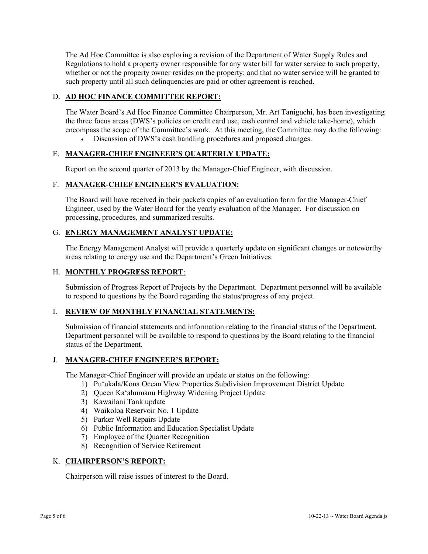The Ad Hoc Committee is also exploring a revision of the Department of Water Supply Rules and Regulations to hold a property owner responsible for any water bill for water service to such property, whether or not the property owner resides on the property; and that no water service will be granted to such property until all such delinquencies are paid or other agreement is reached.

# D. **AD HOC FINANCE COMMITTEE REPORT:**

The Water Board's Ad Hoc Finance Committee Chairperson, Mr. Art Taniguchi, has been investigating the three focus areas (DWS's policies on credit card use, cash control and vehicle take-home), which encompass the scope of the Committee's work. At this meeting, the Committee may do the following:

# Discussion of DWS's cash handling procedures and proposed changes.

# E. **MANAGER-CHIEF ENGINEER'S QUARTERLY UPDATE:**

Report on the second quarter of 2013 by the Manager-Chief Engineer, with discussion.

## F. **MANAGER-CHIEF ENGINEER'S EVALUATION:**

The Board will have received in their packets copies of an evaluation form for the Manager-Chief Engineer, used by the Water Board for the yearly evaluation of the Manager. For discussion on processing, procedures, and summarized results.

## G. **ENERGY MANAGEMENT ANALYST UPDATE:**

The Energy Management Analyst will provide a quarterly update on significant changes or noteworthy areas relating to energy use and the Department's Green Initiatives.

## H. **MONTHLY PROGRESS REPORT**:

Submission of Progress Report of Projects by the Department. Department personnel will be available to respond to questions by the Board regarding the status/progress of any project.

## I. **REVIEW OF MONTHLY FINANCIAL STATEMENTS:**

Submission of financial statements and information relating to the financial status of the Department. Department personnel will be available to respond to questions by the Board relating to the financial status of the Department.

## J. **MANAGER-CHIEF ENGINEER'S REPORT:**

The Manager-Chief Engineer will provide an update or status on the following:

- 1) Pu'ukala/Kona Ocean View Properties Subdivision Improvement District Update
- 2) Queen Ka'ahumanu Highway Widening Project Update
- 3) Kawailani Tank update
- 4) Waikoloa Reservoir No. 1 Update
- 5) Parker Well Repairs Update
- 6) Public Information and Education Specialist Update
- 7) Employee of the Quarter Recognition
- 8) Recognition of Service Retirement

## K. **CHAIRPERSON'S REPORT:**

Chairperson will raise issues of interest to the Board.